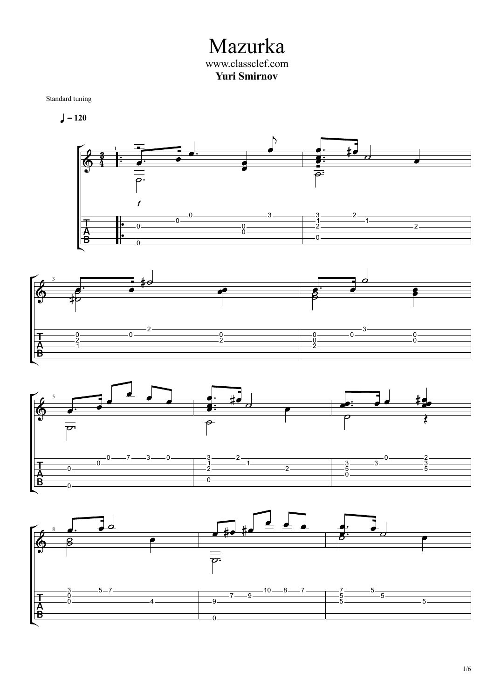Mazurka www.classclef.com **Yuri Smirnov**

Standard tuning

 $= 120$ 







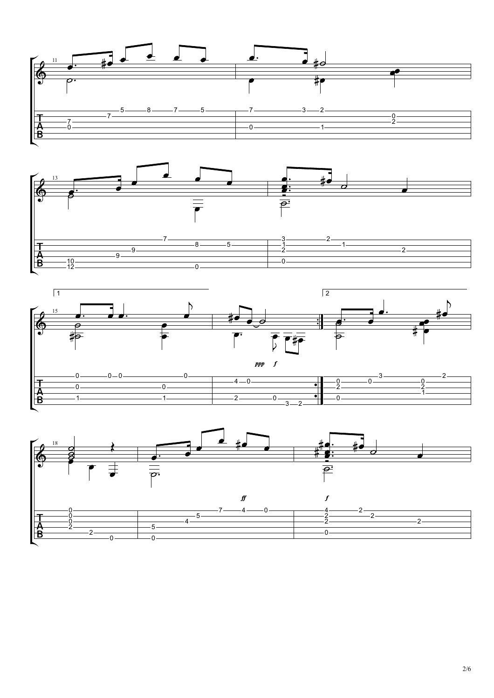





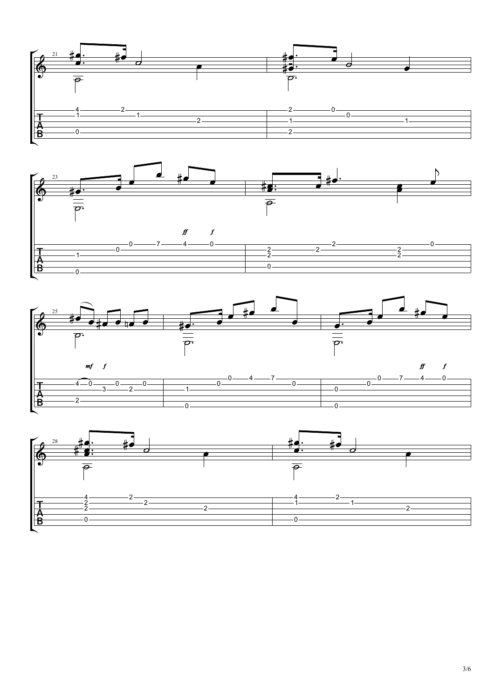





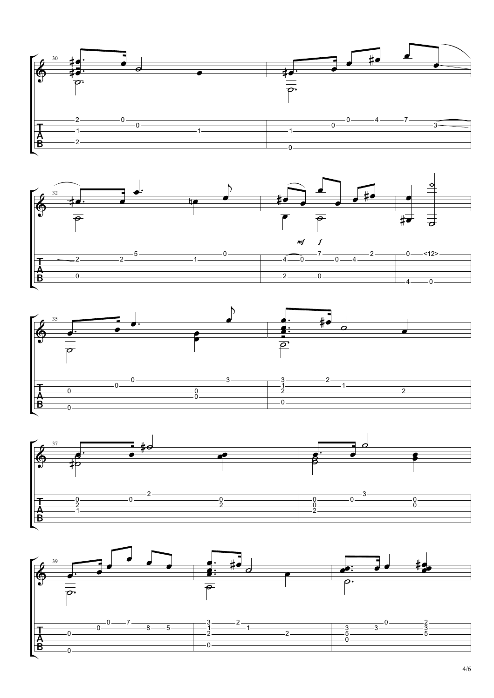







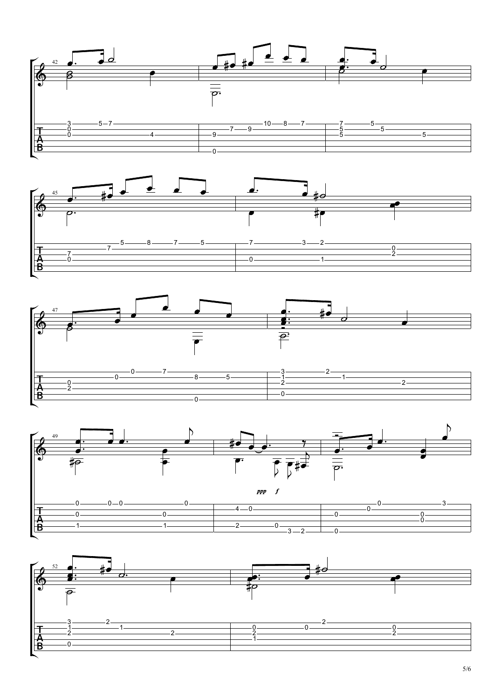